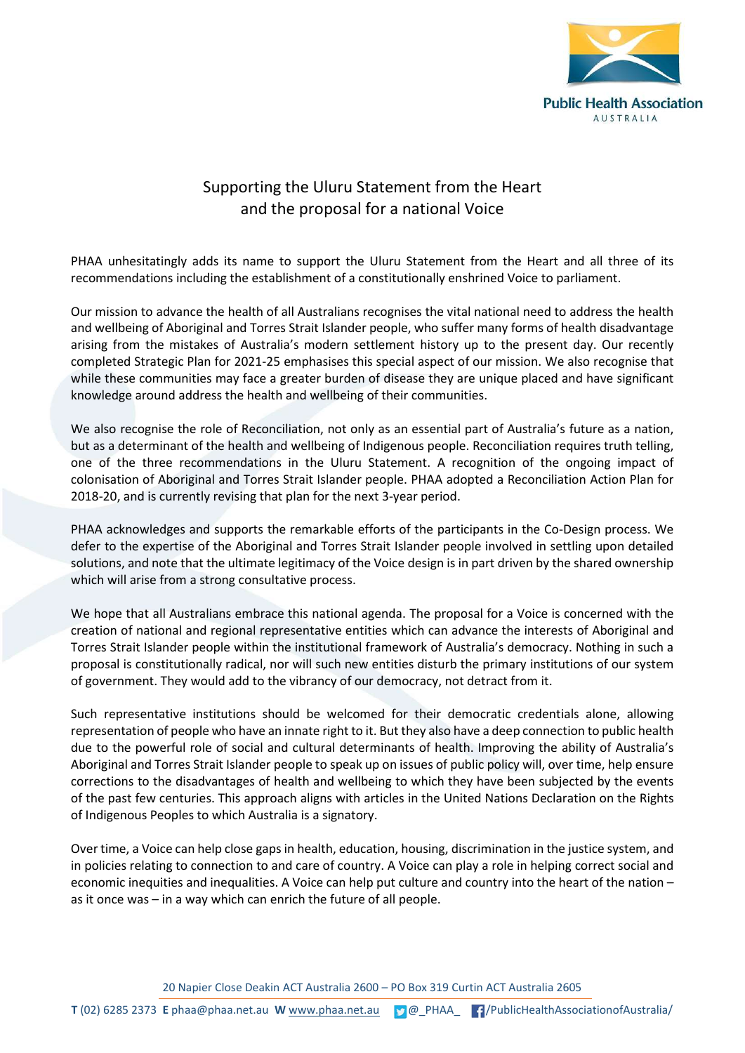

## Supporting the Uluru Statement from the Heart and the proposal for a national Voice

 PHAA unhesitatingly adds its name to support the Uluru Statement from the Heart and all three of its recommendations including the establishment of a constitutionally enshrined Voice to parliament.

 Our mission to advance the health of all Australians recognises the vital national need to address the health and wellbeing of Aboriginal and Torres Strait Islander people, who suffer many forms of health disadvantage arising from the mistakes of Australia's modern settlement history up to the present day. Our recently completed Strategic Plan for 2021-25 emphasises this special aspect of our mission. We also recognise that while these communities may face a greater burden of disease they are unique placed and have significant knowledge around address the health and wellbeing of their communities.

 We also recognise the role of Reconciliation, not only as an essential part of Australia's future as a nation, but as a determinant of the health and wellbeing of Indigenous people. Reconciliation requires truth telling, one of the three recommendations in the Uluru Statement. A recognition of the ongoing impact of colonisation of Aboriginal and Torres Strait Islander people. PHAA adopted a Reconciliation Action Plan for 2018-20, and is currently revising that plan for the next 3-year period.

 PHAA acknowledges and supports the remarkable efforts of the participants in the Co-Design process. We defer to the expertise of the Aboriginal and Torres Strait Islander people involved in settling upon detailed solutions, and note that the ultimate legitimacy of the Voice design is in part driven by the shared ownership which will arise from a strong consultative process.

 We hope that all Australians embrace this national agenda. The proposal for a Voice is concerned with the creation of national and regional representative entities which can advance the interests of Aboriginal and Torres Strait Islander people within the institutional framework of Australia's democracy. Nothing in such a proposal is constitutionally radical, nor will such new entities disturb the primary institutions of our system of government. They would add to the vibrancy of our democracy, not detract from it.

 Such representative institutions should be welcomed for their democratic credentials alone, allowing representation of people who have an innate right to it. But they also have a deep connection to public health due to the powerful role of social and cultural determinants of health. Improving the ability of Australia's Aboriginal and Torres Strait Islander people to speak up on issues of public policy will, over time, help ensure corrections to the disadvantages of health and wellbeing to which they have been subjected by the events of the past few centuries. This approach aligns with articles in the United Nations Declaration on the Rights of Indigenous Peoples to which Australia is a signatory.

 Over time, a Voice can help close gaps in health, education, housing, discrimination in the justice system, and in policies relating to connection to and care of country. A Voice can play a role in helping correct social and economic inequities and inequalities. A Voice can help put culture and country into the heart of the nation – as it once was – in a way which can enrich the future of all people.

20 Napier Close Deakin ACT Australia 2600 – PO Box 319 Curtin ACT Australia 2605